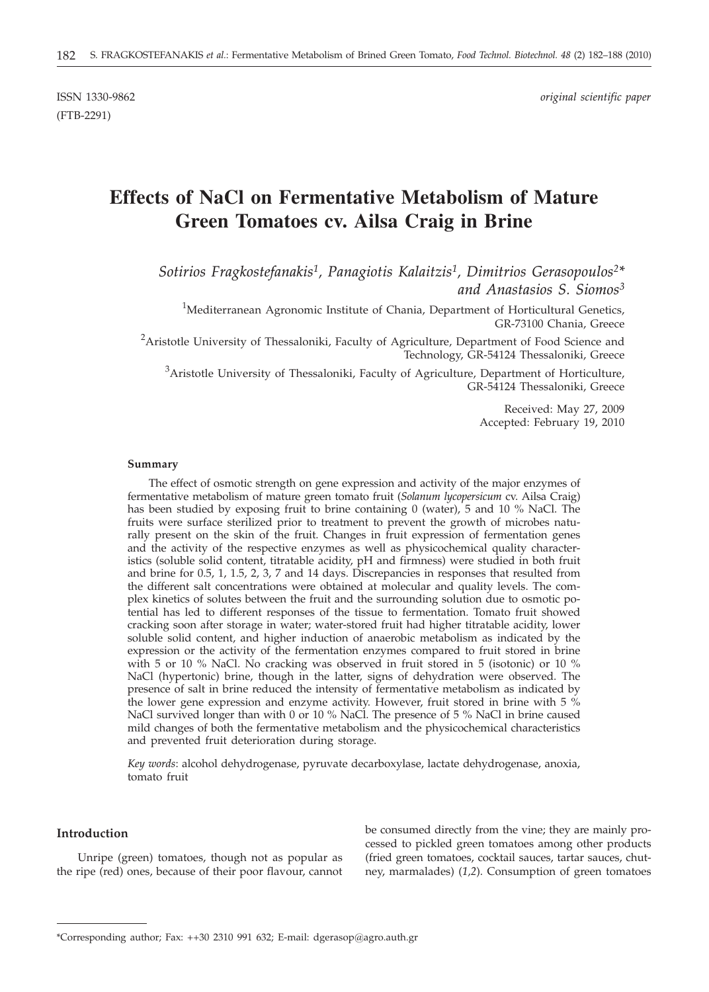# **Effects of NaCl on Fermentative Metabolism of Mature Green Tomatoes cv. Ailsa Craig in Brine**

*Sotirios Fragkostefanakis1, Panagiotis Kalaitzis1, Dimitrios Gerasopoulos2\* and Anastasios S. Siomos3*

<sup>1</sup>Mediterranean Agronomic Institute of Chania, Department of Horticultural Genetics, GR-73100 Chania, Greece

<sup>2</sup> Aristotle University of Thessaloniki, Faculty of Agriculture, Department of Food Science and Technology, GR-54124 Thessaloniki, Greece

<sup>3</sup>Aristotle University of Thessaloniki, Faculty of Agriculture, Department of Horticulture, GR-54124 Thessaloniki, Greece

> Received: May 27, 2009 Accepted: February 19, 2010

#### **Summary**

The effect of osmotic strength on gene expression and activity of the major enzymes of fermentative metabolism of mature green tomato fruit (*Solanum lycopersicum* cv. Ailsa Craig) has been studied by exposing fruit to brine containing 0 (water), 5 and 10 % NaCl. The fruits were surface sterilized prior to treatment to prevent the growth of microbes naturally present on the skin of the fruit. Changes in fruit expression of fermentation genes and the activity of the respective enzymes as well as physicochemical quality characteristics (soluble solid content, titratable acidity, pH and firmness) were studied in both fruit and brine for 0.5, 1, 1.5, 2, 3, 7 and 14 days. Discrepancies in responses that resulted from the different salt concentrations were obtained at molecular and quality levels. The complex kinetics of solutes between the fruit and the surrounding solution due to osmotic potential has led to different responses of the tissue to fermentation. Tomato fruit showed cracking soon after storage in water; water-stored fruit had higher titratable acidity, lower soluble solid content, and higher induction of anaerobic metabolism as indicated by the expression or the activity of the fermentation enzymes compared to fruit stored in brine with 5 or 10 % NaCl. No cracking was observed in fruit stored in 5 (isotonic) or 10 % NaCl (hypertonic) brine, though in the latter, signs of dehydration were observed. The presence of salt in brine reduced the intensity of fermentative metabolism as indicated by the lower gene expression and enzyme activity. However, fruit stored in brine with 5 % NaCl survived longer than with 0 or 10 % NaCl. The presence of 5 % NaCl in brine caused mild changes of both the fermentative metabolism and the physicochemical characteristics and prevented fruit deterioration during storage.

*Key words*: alcohol dehydrogenase, pyruvate decarboxylase, lactate dehydrogenase, anoxia, tomato fruit

# **Introduction**

Unripe (green) tomatoes, though not as popular as the ripe (red) ones, because of their poor flavour, cannot be consumed directly from the vine; they are mainly processed to pickled green tomatoes among other products (fried green tomatoes, cocktail sauces, tartar sauces, chutney, marmalades) (*1,2*). Consumption of green tomatoes

<sup>\*</sup>Corresponding author; Fax: ++30 2310 991 632; E-mail: dgerasop@agro.auth.gr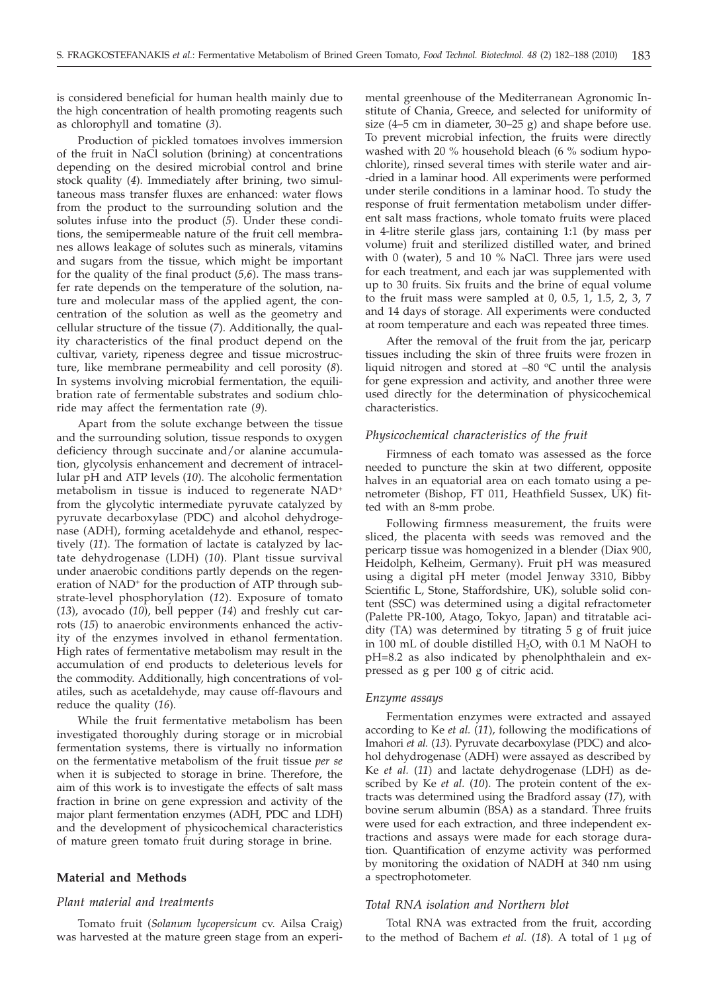is considered beneficial for human health mainly due to the high concentration of health promoting reagents such as chlorophyll and tomatine (*3*).

Production of pickled tomatoes involves immersion of the fruit in NaCl solution (brining) at concentrations depending on the desired microbial control and brine stock quality (*4*). Immediately after brining, two simultaneous mass transfer fluxes are enhanced: water flows from the product to the surrounding solution and the solutes infuse into the product (*5*). Under these conditions, the semipermeable nature of the fruit cell membranes allows leakage of solutes such as minerals, vitamins and sugars from the tissue, which might be important for the quality of the final product (*5,6*). The mass transfer rate depends on the temperature of the solution, nature and molecular mass of the applied agent, the concentration of the solution as well as the geometry and cellular structure of the tissue (*7*). Additionally, the quality characteristics of the final product depend on the cultivar, variety, ripeness degree and tissue microstructure, like membrane permeability and cell porosity (*8*). In systems involving microbial fermentation, the equilibration rate of fermentable substrates and sodium chloride may affect the fermentation rate (*9*).

Apart from the solute exchange between the tissue and the surrounding solution, tissue responds to oxygen deficiency through succinate and/or alanine accumulation, glycolysis enhancement and decrement of intracellular pH and ATP levels (*10*). The alcoholic fermentation metabolism in tissue is induced to regenerate NAD+ from the glycolytic intermediate pyruvate catalyzed by pyruvate decarboxylase (PDC) and alcohol dehydrogenase (ADH), forming acetaldehyde and ethanol, respectively (*11*). The formation of lactate is catalyzed by lactate dehydrogenase (LDH) (*10*). Plant tissue survival under anaerobic conditions partly depends on the regeneration of NAD<sup>+</sup> for the production of ATP through substrate-level phosphorylation (*12*). Exposure of tomato (*13*), avocado (*10*), bell pepper (*14*) and freshly cut carrots (*15*) to anaerobic environments enhanced the activity of the enzymes involved in ethanol fermentation. High rates of fermentative metabolism may result in the accumulation of end products to deleterious levels for the commodity. Additionally, high concentrations of volatiles, such as acetaldehyde, may cause off-flavours and reduce the quality (*16*).

While the fruit fermentative metabolism has been investigated thoroughly during storage or in microbial fermentation systems, there is virtually no information on the fermentative metabolism of the fruit tissue *per se* when it is subjected to storage in brine. Therefore, the aim of this work is to investigate the effects of salt mass fraction in brine on gene expression and activity of the major plant fermentation enzymes (ADH, PDC and LDH) and the development of physicochemical characteristics of mature green tomato fruit during storage in brine.

## **Material and Methods**

## *Plant material and treatments*

Tomato fruit (*Solanum lycopersicum* cv. Ailsa Craig) was harvested at the mature green stage from an experi-

mental greenhouse of the Mediterranean Agronomic Institute of Chania, Greece, and selected for uniformity of size (4–5 cm in diameter, 30–25 g) and shape before use. To prevent microbial infection, the fruits were directly washed with 20 % household bleach (6 % sodium hypochlorite), rinsed several times with sterile water and air- -dried in a laminar hood. All experiments were performed under sterile conditions in a laminar hood. To study the response of fruit fermentation metabolism under different salt mass fractions, whole tomato fruits were placed in 4-litre sterile glass jars, containing 1:1 (by mass per volume) fruit and sterilized distilled water, and brined with 0 (water), 5 and 10 % NaCl. Three jars were used for each treatment, and each jar was supplemented with up to 30 fruits. Six fruits and the brine of equal volume to the fruit mass were sampled at 0, 0.5, 1, 1.5, 2, 3, 7 and 14 days of storage. All experiments were conducted at room temperature and each was repeated three times.

After the removal of the fruit from the jar, pericarp tissues including the skin of three fruits were frozen in liquid nitrogen and stored at  $-80$  °C until the analysis for gene expression and activity, and another three were used directly for the determination of physicochemical characteristics.

### *Physicochemical characteristics of the fruit*

Firmness of each tomato was assessed as the force needed to puncture the skin at two different, opposite halves in an equatorial area on each tomato using a penetrometer (Bishop, FT 011, Heathfield Sussex, UK) fitted with an 8-mm probe.

Following firmness measurement, the fruits were sliced, the placenta with seeds was removed and the pericarp tissue was homogenized in a blender (Diax 900, Heidolph, Kelheim, Germany). Fruit pH was measured using a digital pH meter (model Jenway 3310, Bibby Scientific L, Stone, Staffordshire, UK), soluble solid content (SSC) was determined using a digital refractometer (Palette PR-100, Atago, Tokyo, Japan) and titratable acidity (TA) was determined by titrating 5 g of fruit juice in 100 mL of double distilled H<sub>2</sub>O, with 0.1 M NaOH to pH=8.2 as also indicated by phenolphthalein and expressed as g per 100 g of citric acid.

#### *Enzyme assays*

Fermentation enzymes were extracted and assayed according to Ke *et al.* (*11*), following the modifications of Imahori *et al.* (*13*). Pyruvate decarboxylase (PDC) and alcohol dehydrogenase (ADH) were assayed as described by Ke *et al.* (*11*) and lactate dehydrogenase (LDH) as described by Ke *et al.* (*10*). The protein content of the extracts was determined using the Bradford assay (*17*), with bovine serum albumin (BSA) as a standard. Three fruits were used for each extraction, and three independent extractions and assays were made for each storage duration. Quantification of enzyme activity was performed by monitoring the oxidation of NADH at 340 nm using a spectrophotometer.

#### *Total RNA isolation and Northern blot*

Total RNA was extracted from the fruit, according to the method of Bachem *et al.* (18). A total of 1 μg of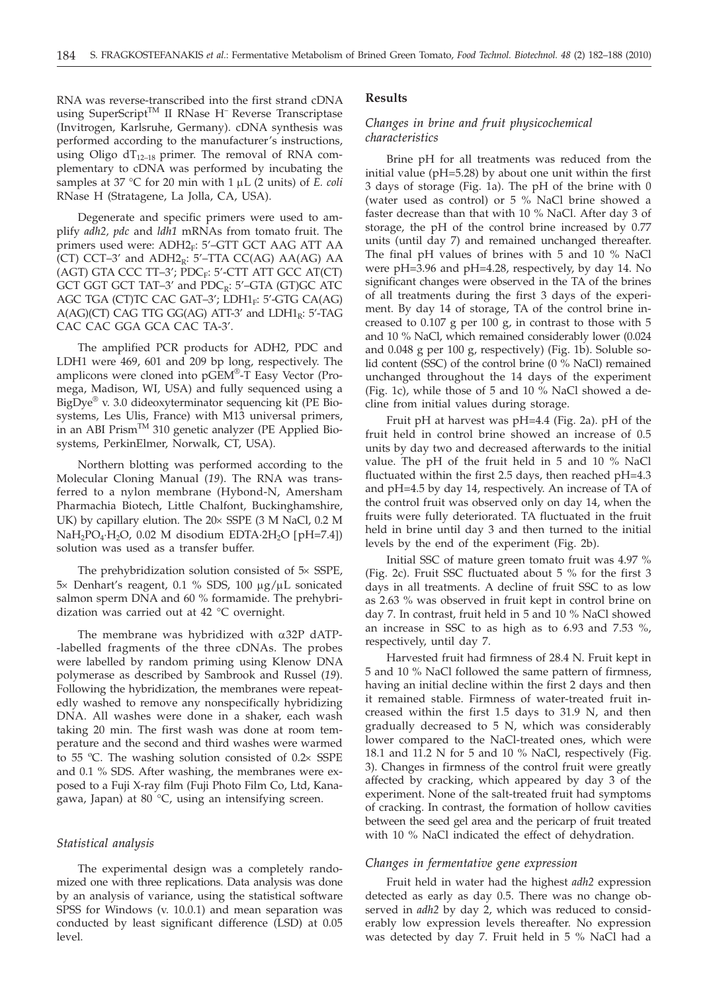RNA was reverse-transcribed into the first strand cDNA using SuperScript™ II RNase H<sup>–</sup> Reverse Transcriptase (Invitrogen, Karlsruhe, Germany). cDNA synthesis was performed according to the manufacturer's instructions, using Oligo  $dT_{12-18}$  primer. The removal of RNA complementary to cDNA was performed by incubating the samples at 37 °C for 20 min with 1  $\mu$ L (2 units) of *E. coli* RNase H (Stratagene, La Jolla, CA, USA).

Degenerate and specific primers were used to amplify *adh2, pdc* and *ldh1* mRNAs from tomato fruit. The primers used were: ADH2<sub>F</sub>: 5'-GTT GCT AAG ATT AA (CT) CCT-3' and  $ADH2_R$ : 5'-TTA CC(AG) AA(AG) AA  $(AGT)$  GTA CCC TT-3'; PDC<sub>F</sub>: 5'-CTT ATT GCC AT(CT) GCT GGT GCT TAT-3' and  $PDC_R$ : 5'-GTA (GT)GC ATC AGC TGA (CT)TC CAC GAT-3'; LDH1 $_F$ : 5'-GTG CA(AG)  $A(AG)(CT)$  CAG TTG GG(AG) ATT-3' and LDH1<sub>R</sub>: 5'-TAG CAC CAC GGA GCA CAC TA-3'.

The amplified PCR products for ADH2, PDC and LDH1 were 469, 601 and 209 bp long, respectively. The amplicons were cloned into pGEM®-T Easy Vector (Promega, Madison, WI, USA) and fully sequenced using a BigDye® v. 3.0 dideoxyterminator sequencing kit (PE Biosystems, Les Ulis, France) with M13 universal primers, in an ABI Prism<sup>TM</sup> 310 genetic analyzer (PE Applied Biosystems, PerkinElmer, Norwalk, CT, USA).

Northern blotting was performed according to the Molecular Cloning Manual (*19*). The RNA was transferred to a nylon membrane (Hybond-N, Amersham Pharmachia Biotech, Little Chalfont, Buckinghamshire, UK) by capillary elution. The  $20 \times$  SSPE (3 M NaCl, 0.2 M  $NaH<sub>2</sub>PO<sub>4</sub>·H<sub>2</sub>O$ , 0.02 M disodium EDTA·2H<sub>2</sub>O [pH=7.4]) solution was used as a transfer buffer.

The prehybridization solution consisted of  $5\times$  SSPE,  $5 \times$  Denhart's reagent, 0.1 % SDS, 100  $\mu$ g/ $\mu$ L sonicated salmon sperm DNA and 60 % formamide. The prehybridization was carried out at 42 °C overnight.

The membrane was hybridized with  $\alpha$ 32P dATP--labelled fragments of the three cDNAs. The probes were labelled by random priming using Klenow DNA polymerase as described by Sambrook and Russel (*19*). Following the hybridization, the membranes were repeatedly washed to remove any nonspecifically hybridizing DNA. All washes were done in a shaker, each wash taking 20 min. The first wash was done at room temperature and the second and third washes were warmed to 55 °C. The washing solution consisted of 0.2× SSPE and 0.1 % SDS. After washing, the membranes were exposed to a Fuji X-ray film (Fuji Photo Film Co, Ltd, Kanagawa, Japan) at 80 °C, using an intensifying screen.

## *Statistical analysis*

The experimental design was a completely randomized one with three replications. Data analysis was done by an analysis of variance, using the statistical software SPSS for Windows (v. 10.0.1) and mean separation was conducted by least significant difference (LSD) at 0.05 level.

#### **Results**

# *Changes in brine and fruit physicochemical characteristics*

Brine pH for all treatments was reduced from the initial value (pH=5.28) by about one unit within the first 3 days of storage (Fig. 1a). The pH of the brine with 0 (water used as control) or 5 % NaCl brine showed a faster decrease than that with 10 % NaCl. After day 3 of storage, the pH of the control brine increased by 0.77 units (until day 7) and remained unchanged thereafter. The final pH values of brines with 5 and 10 % NaCl were pH=3.96 and pH=4.28, respectively, by day 14. No significant changes were observed in the TA of the brines of all treatments during the first 3 days of the experiment. By day 14 of storage, TA of the control brine increased to 0.107 g per 100 g, in contrast to those with 5 and 10 % NaCl, which remained considerably lower (0.024 and 0.048 g per 100 g, respectively) (Fig. 1b). Soluble solid content (SSC) of the control brine (0 % NaCl) remained unchanged throughout the 14 days of the experiment (Fig. 1c), while those of 5 and 10 % NaCl showed a decline from initial values during storage.

Fruit pH at harvest was pH=4.4 (Fig. 2a). pH of the fruit held in control brine showed an increase of 0.5 units by day two and decreased afterwards to the initial value. The pH of the fruit held in 5 and 10 % NaCl fluctuated within the first 2.5 days, then reached pH=4.3 and pH=4.5 by day 14, respectively. An increase of TA of the control fruit was observed only on day 14, when the fruits were fully deteriorated. TA fluctuated in the fruit held in brine until day 3 and then turned to the initial levels by the end of the experiment (Fig. 2b).

Initial SSC of mature green tomato fruit was 4.97 % (Fig. 2c). Fruit SSC fluctuated about 5 % for the first 3 days in all treatments. A decline of fruit SSC to as low as 2.63 % was observed in fruit kept in control brine on day 7. In contrast, fruit held in 5 and 10 % NaCl showed an increase in SSC to as high as to 6.93 and 7.53 %, respectively, until day 7.

Harvested fruit had firmness of 28.4 N. Fruit kept in 5 and 10 % NaCl followed the same pattern of firmness, having an initial decline within the first 2 days and then it remained stable. Firmness of water-treated fruit increased within the first 1.5 days to 31.9 N, and then gradually decreased to 5 N, which was considerably lower compared to the NaCl-treated ones, which were 18.1 and 11.2 N for 5 and 10 % NaCl, respectively (Fig. 3). Changes in firmness of the control fruit were greatly affected by cracking, which appeared by day 3 of the experiment. None of the salt-treated fruit had symptoms of cracking. In contrast, the formation of hollow cavities between the seed gel area and the pericarp of fruit treated with 10 % NaCl indicated the effect of dehydration.

### *Changes in fermentative gene expression*

Fruit held in water had the highest *adh2* expression detected as early as day 0.5. There was no change observed in *adh2* by day 2, which was reduced to considerably low expression levels thereafter. No expression was detected by day 7. Fruit held in 5 % NaCl had a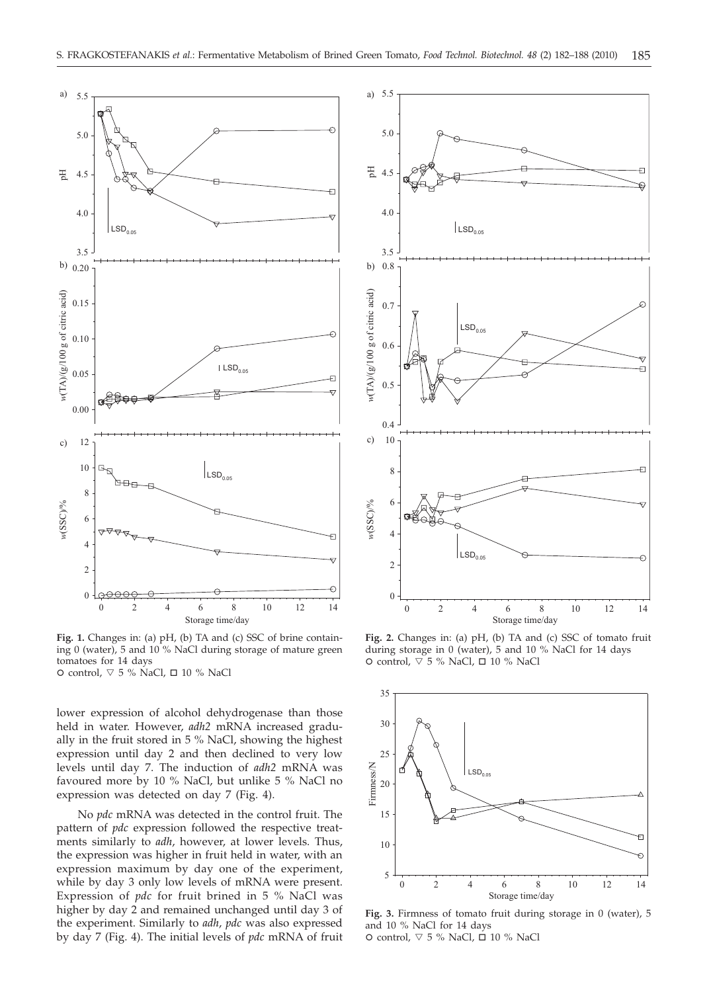

**Fig. 1.** Changes in: (a) pH, (b) TA and (c) SSC of brine containing 0 (water), 5 and 10 % NaCl during storage of mature green tomatoes for 14 days O control,  $\nabla$  5 % NaCl,  $\Box$  10 % NaCl

lower expression of alcohol dehydrogenase than those held in water. However, *adh2* mRNA increased gradually in the fruit stored in 5 % NaCl, showing the highest expression until day 2 and then declined to very low levels until day 7. The induction of *adh2* mRNA was favoured more by 10 % NaCl, but unlike 5 % NaCl no expression was detected on day 7 (Fig. 4).

No *pdc* mRNA was detected in the control fruit. The pattern of *pdc* expression followed the respective treatments similarly to *adh*, however, at lower levels. Thus, the expression was higher in fruit held in water, with an expression maximum by day one of the experiment, while by day 3 only low levels of mRNA were present. Expression of *pdc* for fruit brined in 5 % NaCl was higher by day 2 and remained unchanged until day 3 of the experiment. Similarly to *adh*, *pdc* was also expressed by day 7 (Fig. 4). The initial levels of *pdc* mRNA of fruit



**Fig. 2.** Changes in: (a) pH, (b) TA and (c) SSC of tomato fruit during storage in 0 (water), 5 and 10 % NaCl for 14 days O control,  $\nabla$  5 % NaCl,  $\Box$  10 % NaCl



**Fig. 3.** Firmness of tomato fruit during storage in 0 (water), 5 and 10 % NaCl for 14 days O control,  $\nabla$  5 % NaCl,  $\Box$  10 % NaCl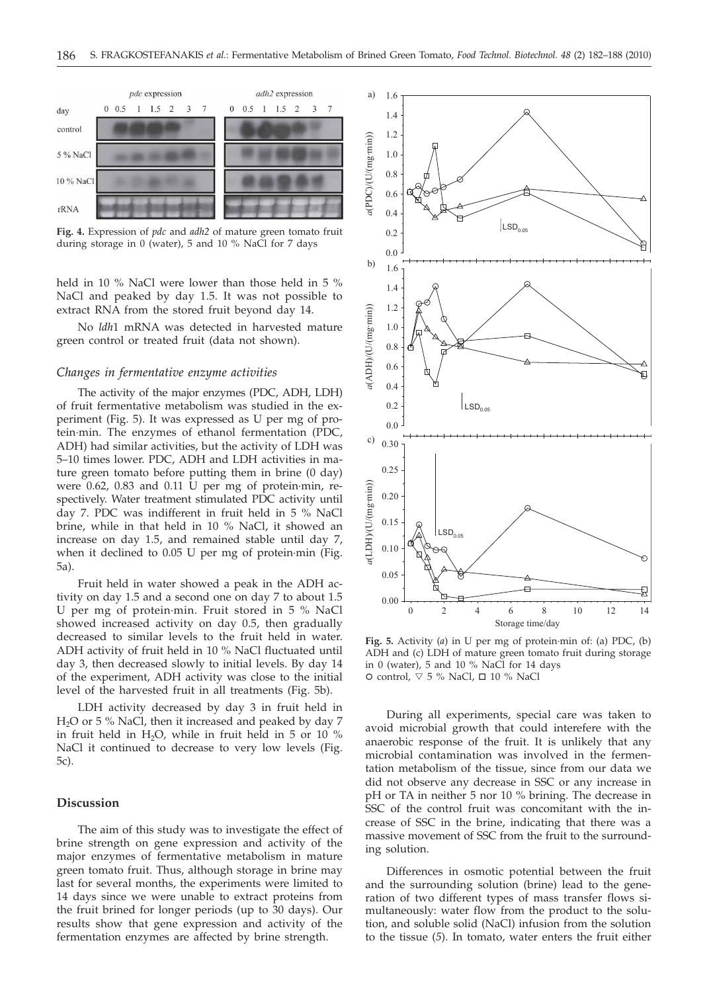

**Fig. 4.** Expression of *pdc* and *adh2* of mature green tomato fruit during storage in 0 (water), 5 and 10 % NaCl for 7 days

held in 10 % NaCl were lower than those held in 5 % NaCl and peaked by day 1.5. It was not possible to extract RNA from the stored fruit beyond day 14.

No *ldh*1 mRNA was detected in harvested mature green control or treated fruit (data not shown).

### *Changes in fermentative enzyme activities*

The activity of the major enzymes (PDC, ADH, LDH) of fruit fermentative metabolism was studied in the experiment (Fig. 5). It was expressed as U per mg of protein·min. The enzymes of ethanol fermentation (PDC, ADH) had similar activities, but the activity of LDH was 5–10 times lower. PDC, ADH and LDH activities in mature green tomato before putting them in brine (0 day) were 0.62, 0.83 and 0.11 U per mg of protein·min, respectively. Water treatment stimulated PDC activity until day 7. PDC was indifferent in fruit held in 5 % NaCl brine, while in that held in 10 % NaCl, it showed an increase on day 1.5, and remained stable until day 7, when it declined to 0.05 U per mg of protein·min (Fig. 5a).

Fruit held in water showed a peak in the ADH activity on day 1.5 and a second one on day 7 to about 1.5 U per mg of protein·min. Fruit stored in 5 % NaCl showed increased activity on day 0.5, then gradually decreased to similar levels to the fruit held in water. ADH activity of fruit held in 10 % NaCl fluctuated until day 3, then decreased slowly to initial levels. By day 14 of the experiment, ADH activity was close to the initial level of the harvested fruit in all treatments (Fig. 5b).

LDH activity decreased by day 3 in fruit held in  $H<sub>2</sub>O$  or 5 % NaCl, then it increased and peaked by day 7 in fruit held in  $H_2O$ , while in fruit held in 5 or 10 % NaCl it continued to decrease to very low levels (Fig. 5c).

# **Discussion**

The aim of this study was to investigate the effect of brine strength on gene expression and activity of the major enzymes of fermentative metabolism in mature green tomato fruit. Thus, although storage in brine may last for several months, the experiments were limited to 14 days since we were unable to extract proteins from the fruit brined for longer periods (up to 30 days). Our results show that gene expression and activity of the fermentation enzymes are affected by brine strength.



**Fig. 5.** Activity (*a*) in U per mg of protein·min of: (a) PDC, (b) ADH and (c) LDH of mature green tomato fruit during storage in 0 (water), 5 and 10  $%$  NaCl for 14 days O control,  $\nabla$  5 % NaCl,  $\Box$  10 % NaCl

During all experiments, special care was taken to avoid microbial growth that could interefere with the anaerobic response of the fruit. It is unlikely that any microbial contamination was involved in the fermentation metabolism of the tissue, since from our data we did not observe any decrease in SSC or any increase in pH or TA in neither 5 nor 10 % brining. The decrease in SSC of the control fruit was concomitant with the increase of SSC in the brine, indicating that there was a massive movement of SSC from the fruit to the surrounding solution.

Differences in osmotic potential between the fruit and the surrounding solution (brine) lead to the generation of two different types of mass transfer flows simultaneously: water flow from the product to the solution, and soluble solid (NaCl) infusion from the solution to the tissue (*5*). In tomato, water enters the fruit either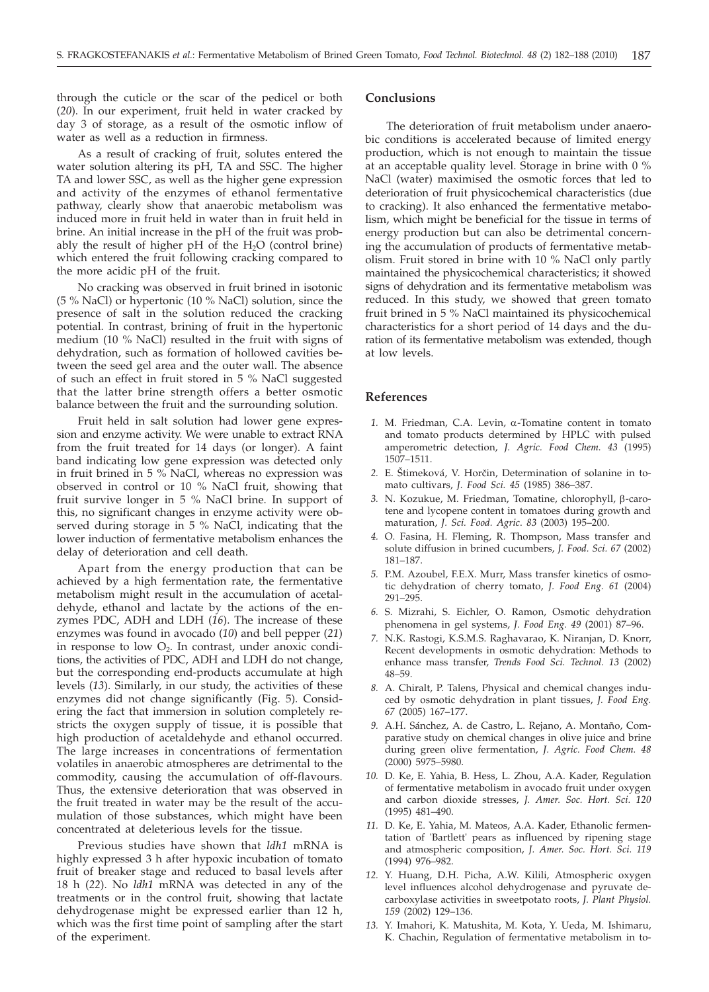through the cuticle or the scar of the pedicel or both (*20*). In our experiment, fruit held in water cracked by day 3 of storage, as a result of the osmotic inflow of water as well as a reduction in firmness.

As a result of cracking of fruit, solutes entered the water solution altering its pH, TA and SSC. The higher TA and lower SSC, as well as the higher gene expression and activity of the enzymes of ethanol fermentative pathway, clearly show that anaerobic metabolism was induced more in fruit held in water than in fruit held in brine. An initial increase in the pH of the fruit was probably the result of higher pH of the  $H_2O$  (control brine) which entered the fruit following cracking compared to the more acidic pH of the fruit.

No cracking was observed in fruit brined in isotonic (5 % NaCl) or hypertonic (10 % NaCl) solution, since the presence of salt in the solution reduced the cracking potential. In contrast, brining of fruit in the hypertonic medium (10 % NaCl) resulted in the fruit with signs of dehydration, such as formation of hollowed cavities between the seed gel area and the outer wall. The absence of such an effect in fruit stored in 5 % NaCl suggested that the latter brine strength offers a better osmotic balance between the fruit and the surrounding solution.

Fruit held in salt solution had lower gene expression and enzyme activity. We were unable to extract RNA from the fruit treated for 14 days (or longer). A faint band indicating low gene expression was detected only in fruit brined in 5 % NaCl, whereas no expression was observed in control or 10 % NaCl fruit, showing that fruit survive longer in 5 % NaCl brine. In support of this, no significant changes in enzyme activity were observed during storage in 5 % NaCl, indicating that the lower induction of fermentative metabolism enhances the delay of deterioration and cell death.

Apart from the energy production that can be achieved by a high fermentation rate, the fermentative metabolism might result in the accumulation of acetaldehyde, ethanol and lactate by the actions of the enzymes PDC, ADH and LDH (*16*). The increase of these enzymes was found in avocado (*10*) and bell pepper (*21*) in response to low  $O_2$ . In contrast, under anoxic conditions, the activities of PDC, ADH and LDH do not change, but the corresponding end-products accumulate at high levels (*13*). Similarly, in our study, the activities of these enzymes did not change significantly (Fig. 5). Considering the fact that immersion in solution completely restricts the oxygen supply of tissue, it is possible that high production of acetaldehyde and ethanol occurred. The large increases in concentrations of fermentation volatiles in anaerobic atmospheres are detrimental to the commodity, causing the accumulation of off-flavours. Thus, the extensive deterioration that was observed in the fruit treated in water may be the result of the accumulation of those substances, which might have been concentrated at deleterious levels for the tissue.

Previous studies have shown that *ldh1* mRNA is highly expressed 3 h after hypoxic incubation of tomato fruit of breaker stage and reduced to basal levels after 18 h (*22*). No *ldh1* mRNA was detected in any of the treatments or in the control fruit, showing that lactate dehydrogenase might be expressed earlier than 12 h, which was the first time point of sampling after the start of the experiment.

#### **Conclusions**

The deterioration of fruit metabolism under anaerobic conditions is accelerated because of limited energy production, which is not enough to maintain the tissue at an acceptable quality level. Storage in brine with 0 % NaCl (water) maximised the osmotic forces that led to deterioration of fruit physicochemical characteristics (due to cracking). It also enhanced the fermentative metabolism, which might be beneficial for the tissue in terms of energy production but can also be detrimental concerning the accumulation of products of fermentative metabolism. Fruit stored in brine with 10 % NaCl only partly maintained the physicochemical characteristics; it showed signs of dehydration and its fermentative metabolism was reduced. In this study, we showed that green tomato fruit brined in 5 % NaCl maintained its physicochemical characteristics for a short period of 14 days and the duration of its fermentative metabolism was extended, though at low levels.

## **References**

- *1.* M. Friedman, C.A. Levin, a-Tomatine content in tomato and tomato products determined by HPLC with pulsed amperometric detection, *J. Agric. Food Chem. 43* (1995) 1507–1511.
- 2. E. Štimeková, V. Horčin, Determination of solanine in tomato cultivars, *J. Food Sci. 45* (1985) 386–387.
- 3. N. Kozukue, M. Friedman, Tomatine, chlorophyll, β-carotene and lycopene content in tomatoes during growth and maturation, *J. Sci. Food. Agric*. *83* (2003) 195–200.
- *4.* O. Fasina, H. Fleming, R. Thompson, Mass transfer and solute diffusion in brined cucumbers, *J. Food. Sci. 67* (2002) 181–187.
- *5.* P.M. Azoubel, F.E.X. Murr, Mass transfer kinetics of osmotic dehydration of cherry tomato, *J. Food Eng. 61* (2004) 291–295.
- *6.* S. Mizrahi, S. Eichler, O. Ramon, Osmotic dehydration phenomena in gel systems, *J. Food Eng. 49* (2001) 87–96.
- *7.* N.K. Rastogi, K.S.M.S. Raghavarao, K. Niranjan, D. Knorr, Recent developments in osmotic dehydration: Methods to enhance mass transfer, *Trends Food Sci. Technol. 13* (2002) 48–59.
- *8.* A. Chiralt, P. Talens, Physical and chemical changes induced by osmotic dehydration in plant tissues, *J. Food Eng. 67* (2005) 167–177.
- *9.* A.H. Sánchez, A. de Castro, L. Rejano, A. Montaño, Comparative study on chemical changes in olive juice and brine during green olive fermentation, *J. Agric. Food Chem. 48* (2000) 5975–5980.
- *10.* D. Ke, E. Yahia, B. Hess, L. Zhou, A.A. Kader, Regulation of fermentative metabolism in avocado fruit under oxygen and carbon dioxide stresses, *J. Amer. Soc. Hort. Sci. 120* (1995) 481–490.
- *11.* D. Ke, E. Yahia, M. Mateos, A.A. Kader, Ethanolic fermentation of 'Bartlett' pears as influenced by ripening stage and atmospheric composition, *J. Amer. Soc. Hort. Sci. 119* (1994) 976–982.
- *12.* Y. Huang, D.H. Picha, A.W. Kilili, Atmospheric oxygen level influences alcohol dehydrogenase and pyruvate decarboxylase activities in sweetpotato roots, *J. Plant Physiol. 159* (2002) 129–136.
- *13.* Y. Imahori, K. Matushita, M. Kota, Y. Ueda, M. Ishimaru, K. Chachin, Regulation of fermentative metabolism in to-